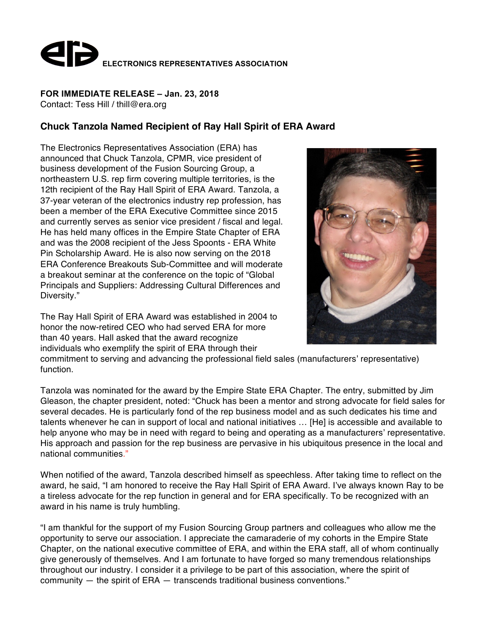

## **FOR IMMEDIATE RELEASE – Jan. 23, 2018**

Contact: Tess Hill / thill@era.org

## **Chuck Tanzola Named Recipient of Ray Hall Spirit of ERA Award**

The Electronics Representatives Association (ERA) has announced that Chuck Tanzola, CPMR, vice president of business development of the Fusion Sourcing Group, a northeastern U.S. rep firm covering multiple territories, is the 12th recipient of the Ray Hall Spirit of ERA Award. Tanzola, a 37-year veteran of the electronics industry rep profession, has been a member of the ERA Executive Committee since 2015 and currently serves as senior vice president / fiscal and legal. He has held many offices in the Empire State Chapter of ERA and was the 2008 recipient of the Jess Spoonts - ERA White Pin Scholarship Award. He is also now serving on the 2018 ERA Conference Breakouts Sub-Committee and will moderate a breakout seminar at the conference on the topic of "Global Principals and Suppliers: Addressing Cultural Differences and Diversity."

The Ray Hall Spirit of ERA Award was established in 2004 to honor the now-retired CEO who had served ERA for more than 40 years. Hall asked that the award recognize individuals who exemplify the spirit of ERA through their



commitment to serving and advancing the professional field sales (manufacturers' representative) function.

Tanzola was nominated for the award by the Empire State ERA Chapter. The entry, submitted by Jim Gleason, the chapter president, noted: "Chuck has been a mentor and strong advocate for field sales for several decades. He is particularly fond of the rep business model and as such dedicates his time and talents whenever he can in support of local and national initiatives … [He] is accessible and available to help anyone who may be in need with regard to being and operating as a manufacturers' representative. His approach and passion for the rep business are pervasive in his ubiquitous presence in the local and national communities."

When notified of the award, Tanzola described himself as speechless. After taking time to reflect on the award, he said, "I am honored to receive the Ray Hall Spirit of ERA Award. I've always known Ray to be a tireless advocate for the rep function in general and for ERA specifically. To be recognized with an award in his name is truly humbling.

"I am thankful for the support of my Fusion Sourcing Group partners and colleagues who allow me the opportunity to serve our association. I appreciate the camaraderie of my cohorts in the Empire State Chapter, on the national executive committee of ERA, and within the ERA staff, all of whom continually give generously of themselves. And I am fortunate to have forged so many tremendous relationships throughout our industry. I consider it a privilege to be part of this association, where the spirit of community — the spirit of ERA — transcends traditional business conventions."